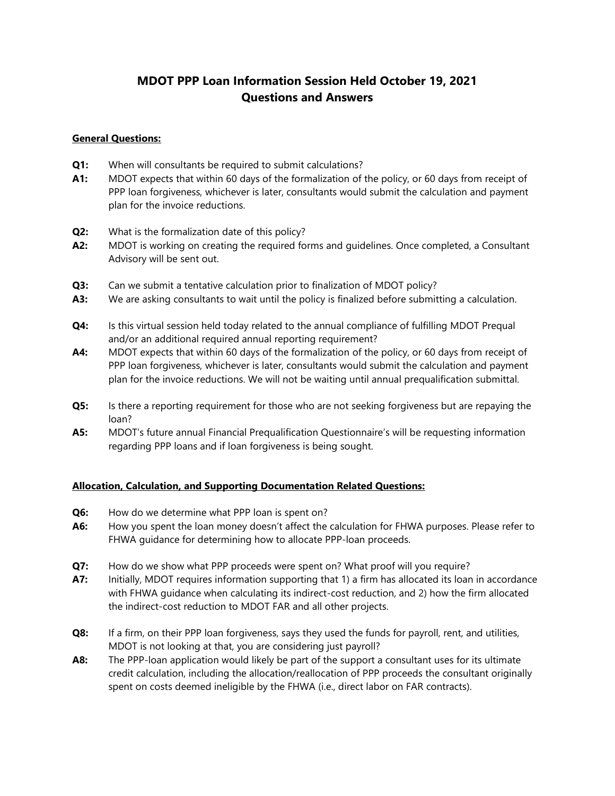# **MDOT PPP Loan Information Session Held October 19, 2021 Questions and Answers**

## **General Questions:**

- **Q1:** When will consultants be required to submit calculations?
- **A1:** MDOT expects that within 60 days of the formalization of the policy, or 60 days from receipt of PPP loan forgiveness, whichever is later, consultants would submit the calculation and payment plan for the invoice reductions.
- **Q2:** What is the formalization date of this policy?
- **A2:** MDOT is working on creating the required forms and guidelines. Once completed, a Consultant Advisory will be sent out.
- **Q3:** Can we submit a tentative calculation prior to finalization of MDOT policy?
- **A3:** We are asking consultants to wait until the policy is finalized before submitting a calculation.
- **Q4:** Is this virtual session held today related to the annual compliance of fulfilling MDOT Prequal and/or an additional required annual reporting requirement?
- **A4:** MDOT expects that within 60 days of the formalization of the policy, or 60 days from receipt of PPP loan forgiveness, whichever is later, consultants would submit the calculation and payment plan for the invoice reductions. We will not be waiting until annual prequalification submittal.
- **Q5:** Is there a reporting requirement for those who are not seeking forgiveness but are repaying the loan?
- **A5:** MDOT's future annual Financial Prequalification Questionnaire's will be requesting information regarding PPP loans and if loan forgiveness is being sought.

## **Allocation, Calculation, and Supporting Documentation Related Questions:**

- **Q6:** How do we determine what PPP loan is spent on?
- **A6:** How you spent the loan money doesn't affect the calculation for FHWA purposes. Please refer to FHWA guidance for determining how to allocate PPP-loan proceeds.
- **Q7:** How do we show what PPP proceeds were spent on? What proof will you require?
- **A7:** Initially, MDOT requires information supporting that 1) a firm has allocated its loan in accordance with FHWA guidance when calculating its indirect-cost reduction, and 2) how the firm allocated the indirect-cost reduction to MDOT FAR and all other projects.
- **Q8:** If a firm, on their PPP loan forgiveness, says they used the funds for payroll, rent, and utilities, MDOT is not looking at that, you are considering just payroll?
- **A8:** The PPP-loan application would likely be part of the support a consultant uses for its ultimate credit calculation, including the allocation/reallocation of PPP proceeds the consultant originally spent on costs deemed ineligible by the FHWA (i.e., direct labor on FAR contracts).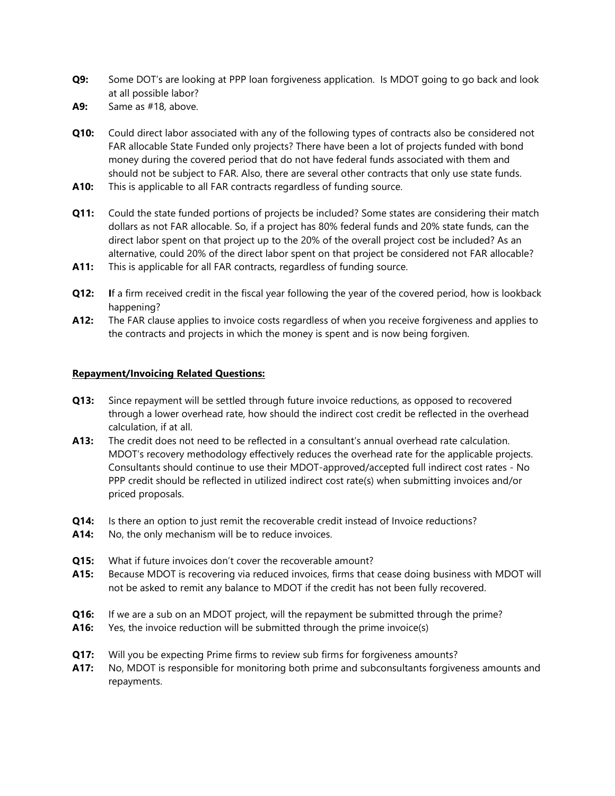- **Q9:** Some DOT's are looking at PPP loan forgiveness application. Is MDOT going to go back and look at all possible labor?
- **A9:** Same as #18, above.
- **Q10:** Could direct labor associated with any of the following types of contracts also be considered not FAR allocable State Funded only projects? There have been a lot of projects funded with bond money during the covered period that do not have federal funds associated with them and should not be subject to FAR. Also, there are several other contracts that only use state funds.
- **A10:** This is applicable to all FAR contracts regardless of funding source.
- **Q11:** Could the state funded portions of projects be included? Some states are considering their match dollars as not FAR allocable. So, if a project has 80% federal funds and 20% state funds, can the direct labor spent on that project up to the 20% of the overall project cost be included? As an alternative, could 20% of the direct labor spent on that project be considered not FAR allocable? **A11:** This is applicable for all FAR contracts, regardless of funding source.
- **Q12:** If a firm received credit in the fiscal year following the year of the covered period, how is lookback happening?
- **A12:** The FAR clause applies to invoice costs regardless of when you receive forgiveness and applies to the contracts and projects in which the money is spent and is now being forgiven.

## **Repayment/Invoicing Related Questions:**

- **Q13:** Since repayment will be settled through future invoice reductions, as opposed to recovered through a lower overhead rate, how should the indirect cost credit be reflected in the overhead calculation, if at all.
- **A13:** The credit does not need to be reflected in a consultant's annual overhead rate calculation. MDOT's recovery methodology effectively reduces the overhead rate for the applicable projects. Consultants should continue to use their MDOT-approved/accepted full indirect cost rates - No PPP credit should be reflected in utilized indirect cost rate(s) when submitting invoices and/or priced proposals.
- **Q14:** Is there an option to just remit the recoverable credit instead of Invoice reductions?
- **A14:** No, the only mechanism will be to reduce invoices.
- **Q15:** What if future invoices don't cover the recoverable amount?
- **A15:** Because MDOT is recovering via reduced invoices, firms that cease doing business with MDOT will not be asked to remit any balance to MDOT if the credit has not been fully recovered.
- **Q16:** If we are a sub on an MDOT project, will the repayment be submitted through the prime?
- **A16:** Yes, the invoice reduction will be submitted through the prime invoice(s)
- **Q17:** Will you be expecting Prime firms to review sub firms for forgiveness amounts?
- **A17:** No, MDOT is responsible for monitoring both prime and subconsultants forgiveness amounts and repayments.